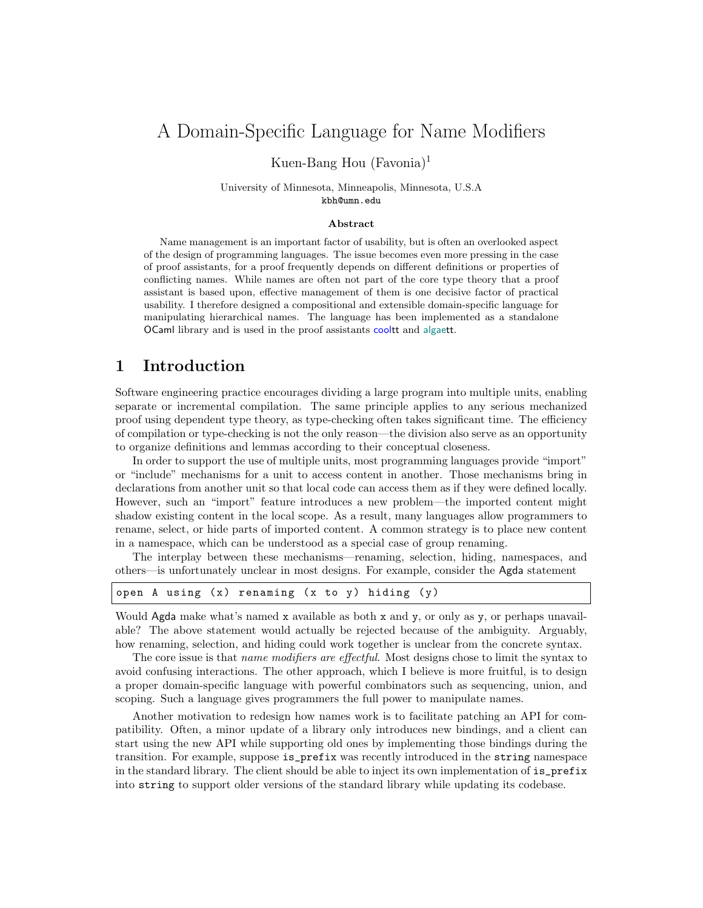# A Domain-Specific Language for Name Modifiers

Kuen-Bang Hou (Favonia)<sup>1</sup>

University of Minnesota, Minneapolis, Minnesota, U.S.A kbh@umn.edu

#### Abstract

Name management is an important factor of usability, but is often an overlooked aspect of the design of programming languages. The issue becomes even more pressing in the case of proof assistants, for a proof frequently depends on different definitions or properties of conflicting names. While names are often not part of the core type theory that a proof assistant is based upon, effective management of them is one decisive factor of practical usability. I therefore designed a compositional and extensible domain-specific language for manipulating hierarchical names. The language has been implemented as a standalone OCaml library and is used in the proof assistants cooltt and algaett.

#### 1 Introduction

Software engineering practice encourages dividing a large program into multiple units, enabling separate or incremental compilation. The same principle applies to any serious mechanized proof using dependent type theory, as type-checking often takes significant time. The efficiency of compilation or type-checking is not the only reason—the division also serve as an opportunity to organize definitions and lemmas according to their conceptual closeness.

In order to support the use of multiple units, most programming languages provide "import" or "include" mechanisms for a unit to access content in another. Those mechanisms bring in declarations from another unit so that local code can access them as if they were defined locally. However, such an "import" feature introduces a new problem—the imported content might shadow existing content in the local scope. As a result, many languages allow programmers to rename, select, or hide parts of imported content. A common strategy is to place new content in a namespace, which can be understood as a special case of group renaming.

The interplay between these mechanisms—renaming, selection, hiding, namespaces, and others—is unfortunately unclear in most designs. For example, consider the Agda statement

| open A using (x) renaming (x to y) hiding (y) |  |
|-----------------------------------------------|--|
|-----------------------------------------------|--|

Would Agda make what's named x available as both x and y, or only as y, or perhaps unavailable? The above statement would actually be rejected because of the ambiguity. Arguably, how renaming, selection, and hiding could work together is unclear from the concrete syntax.

The core issue is that *name modifiers are effectful*. Most designs chose to limit the syntax to avoid confusing interactions. The other approach, which I believe is more fruitful, is to design a proper domain-specific language with powerful combinators such as sequencing, union, and scoping. Such a language gives programmers the full power to manipulate names.

Another motivation to redesign how names work is to facilitate patching an API for compatibility. Often, a minor update of a library only introduces new bindings, and a client can start using the new API while supporting old ones by implementing those bindings during the transition. For example, suppose is\_prefix was recently introduced in the string namespace in the standard library. The client should be able to inject its own implementation of is\_prefix into string to support older versions of the standard library while updating its codebase.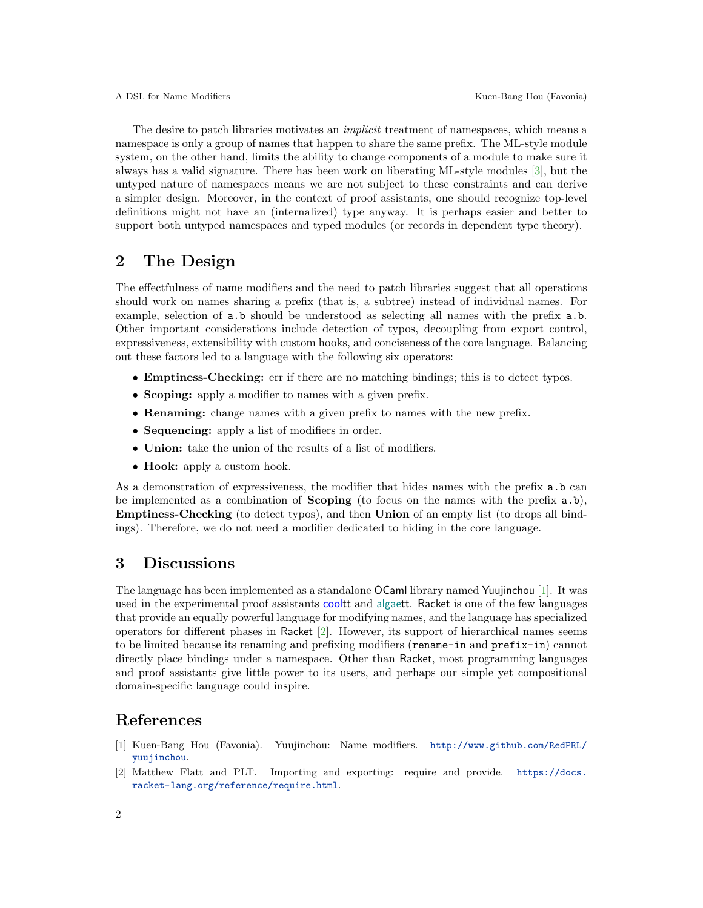The desire to patch libraries motivates an *implicit* treatment of namespaces, which means a namespace is only a group of names that happen to share the same prefix. The ML-style module system, on the other hand, limits the ability to change components of a module to make sure it always has a valid signature. There has been work on liberating ML-style modules [\[3\]](#page-2-0), but the untyped nature of namespaces means we are not subject to these constraints and can derive a simpler design. Moreover, in the context of proof assistants, one should recognize top-level definitions might not have an (internalized) type anyway. It is perhaps easier and better to support both untyped namespaces and typed modules (or records in dependent type theory).

## 2 The Design

The effectfulness of name modifiers and the need to patch libraries suggest that all operations should work on names sharing a prefix (that is, a subtree) instead of individual names. For example, selection of a.b should be understood as selecting all names with the prefix a.b. Other important considerations include detection of typos, decoupling from export control, expressiveness, extensibility with custom hooks, and conciseness of the core language. Balancing out these factors led to a language with the following six operators:

- Emptiness-Checking: err if there are no matching bindings; this is to detect typos.
- Scoping: apply a modifier to names with a given prefix.
- Renaming: change names with a given prefix to names with the new prefix.
- Sequencing: apply a list of modifiers in order.
- Union: take the union of the results of a list of modifiers.
- Hook: apply a custom hook.

As a demonstration of expressiveness, the modifier that hides names with the prefix  $a.b$  can be implemented as a combination of **Scoping** (to focus on the names with the prefix  $a.b$ ), Emptiness-Checking (to detect typos), and then Union of an empty list (to drops all bindings). Therefore, we do not need a modifier dedicated to hiding in the core language.

### 3 Discussions

The language has been implemented as a standalone OCaml library named Yuujinchou [\[1\]](#page-1-0). It was used in the experimental proof assistants cooltt and algaett. Racket is one of the few languages that provide an equally powerful language for modifying names, and the language has specialized operators for different phases in Racket [\[2\]](#page-1-1). However, its support of hierarchical names seems to be limited because its renaming and prefixing modifiers (rename-in and prefix-in) cannot directly place bindings under a namespace. Other than Racket, most programming languages and proof assistants give little power to its users, and perhaps our simple yet compositional domain-specific language could inspire.

### References

- <span id="page-1-0"></span>[1] Kuen-Bang Hou (Favonia). Yuujinchou: Name modifiers. [http://www.github.com/RedPRL/](http://www.github.com/RedPRL/yuujinchou) [yuujinchou](http://www.github.com/RedPRL/yuujinchou).
- <span id="page-1-1"></span>[2] Matthew Flatt and PLT. Importing and exporting: require and provide. [https://docs.](https://docs.racket-lang.org/reference/require.html) [racket-lang.org/reference/require.html](https://docs.racket-lang.org/reference/require.html).